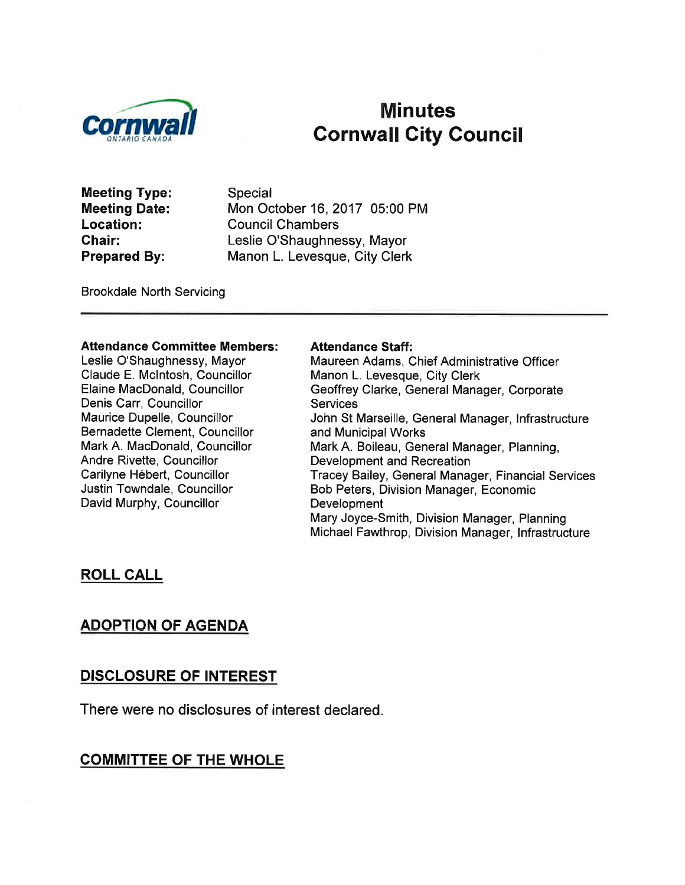

# Minutes<br>Cornwall Cornwall City Council

Meeting Type: Meeting Date: Location: Chair: Prepared By:

Special Mon October 16, 2017 05:00 PM Council Chambers Leslie O'Shaughnessy, Mayor Manon L. Levesque, City Clerk

Brookdale North Servicing

#### Attendance Gommittee Members:

Leslie O'Shaughnessy, Mayor Claude E. Mclntosh, Councillor Elaine MacDonald, Councillor Denis Carr, Councillor Maurice Dupelle, Councillor Bernadette Clement, Councillor Mark A. MacDonald, Councillor Andre Rivette, Councillor Carilyne Hébert, Councillor Justin Towndale, Councillor David Murphy, Councillor

#### Attendance Staff:

Maureen Adams, Chief Administrative Officer Manon L. Levesque, City Clerk Geoffrey Clarke, General Manager, Corporate **Services** John St Marseille, General Manager, lnfrastructure and Municipal Works Mark A. Boileau, General Manager, Planning, Development and Recreation Tracey Bailey, General Manager, Financial Services Bob Peters, Division Manager, Economic Development Mary Joyce-Smith, Division Manager, Planning Michael Fawthrop, Division Manager, lnfrastructure

### ROLL CALL

# ADOPTION OF AGENDA

### DISCLOSURE OF INTEREST

There were no disclosures of interest declared.

# COMMITTEE OF THE WHOLE